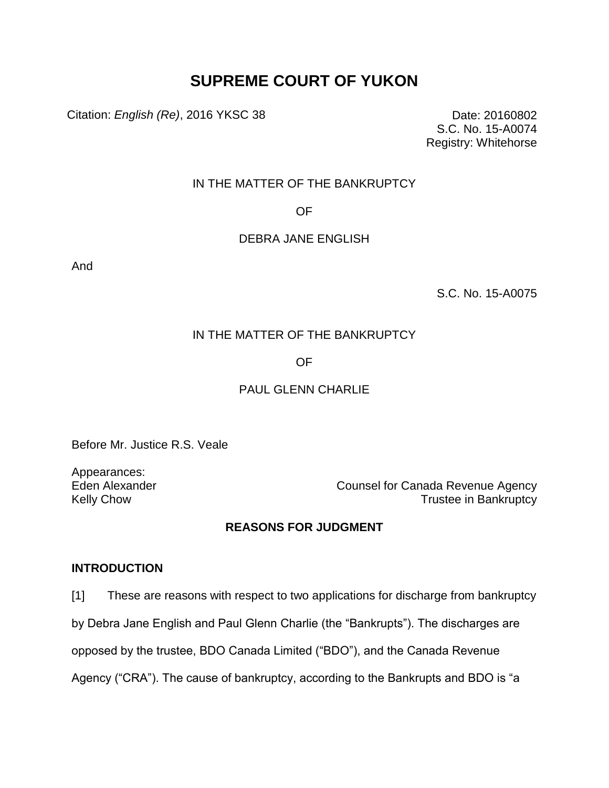# **SUPREME COURT OF YUKON**

Citation: *English (Re)*, 2016 YKSC 38 Date: 20160802

S.C. No. 15-A0074 Registry: Whitehorse

# IN THE MATTER OF THE BANKRUPTCY

OF

#### DEBRA JANE ENGLISH

And

S.C. No. 15-A0075

# IN THE MATTER OF THE BANKRUPTCY

# OF

# PAUL GLENN CHARLIE

Before Mr. Justice R.S. Veale

Appearances:

Eden Alexander **Counsel for Canada Revenue Agency** Kelly Chow **Trustee** in Bankruptcy

# **REASONS FOR JUDGMENT**

#### **INTRODUCTION**

[1] These are reasons with respect to two applications for discharge from bankruptcy

by Debra Jane English and Paul Glenn Charlie (the "Bankrupts"). The discharges are

opposed by the trustee, BDO Canada Limited ("BDO"), and the Canada Revenue

Agency ("CRA"). The cause of bankruptcy, according to the Bankrupts and BDO is "a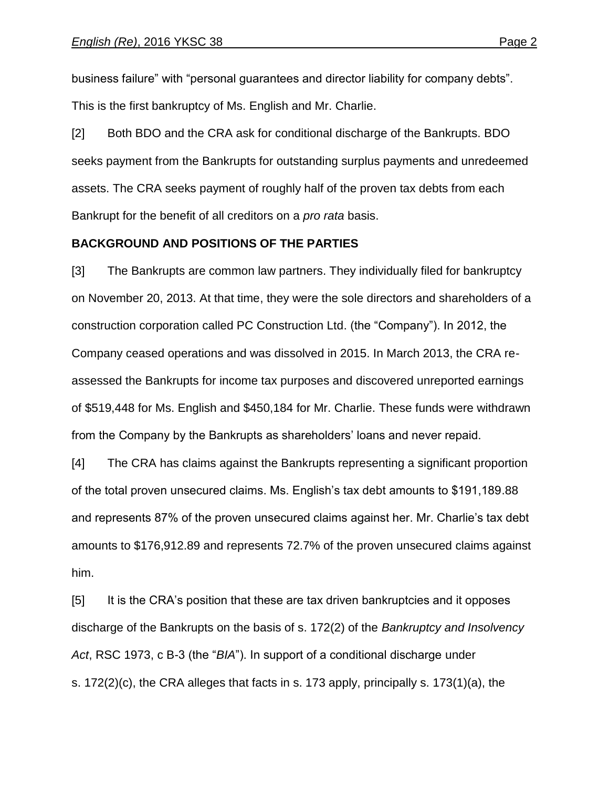business failure" with "personal guarantees and director liability for company debts". This is the first bankruptcy of Ms. English and Mr. Charlie.

[2] Both BDO and the CRA ask for conditional discharge of the Bankrupts. BDO seeks payment from the Bankrupts for outstanding surplus payments and unredeemed assets. The CRA seeks payment of roughly half of the proven tax debts from each Bankrupt for the benefit of all creditors on a *pro rata* basis.

#### **BACKGROUND AND POSITIONS OF THE PARTIES**

[3] The Bankrupts are common law partners. They individually filed for bankruptcy on November 20, 2013. At that time, they were the sole directors and shareholders of a construction corporation called PC Construction Ltd. (the "Company"). In 2012, the Company ceased operations and was dissolved in 2015. In March 2013, the CRA reassessed the Bankrupts for income tax purposes and discovered unreported earnings of \$519,448 for Ms. English and \$450,184 for Mr. Charlie. These funds were withdrawn from the Company by the Bankrupts as shareholders' loans and never repaid.

[4] The CRA has claims against the Bankrupts representing a significant proportion of the total proven unsecured claims. Ms. English's tax debt amounts to \$191,189.88 and represents 87% of the proven unsecured claims against her. Mr. Charlie's tax debt amounts to \$176,912.89 and represents 72.7% of the proven unsecured claims against him.

[5] It is the CRA's position that these are tax driven bankruptcies and it opposes discharge of the Bankrupts on the basis of s. 172(2) of the *Bankruptcy and Insolvency Act*, RSC 1973, c B-3 (the "*BIA*"). In support of a conditional discharge under s. 172(2)(c), the CRA alleges that facts in s. 173 apply, principally s. 173(1)(a), the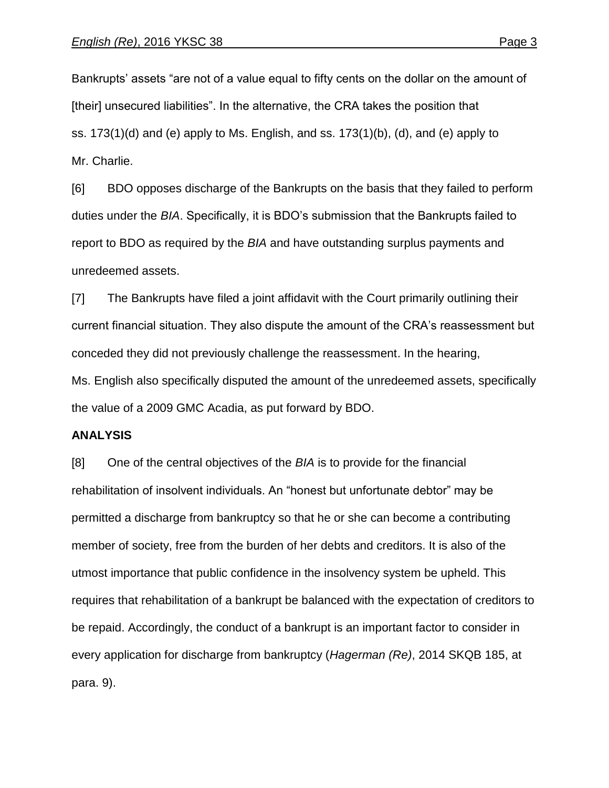Bankrupts' assets "are not of a value equal to fifty cents on the dollar on the amount of [their] unsecured liabilities". In the alternative, the CRA takes the position that ss. 173(1)(d) and (e) apply to Ms. English, and ss. 173(1)(b), (d), and (e) apply to Mr. Charlie.

[6] BDO opposes discharge of the Bankrupts on the basis that they failed to perform duties under the *BIA*. Specifically, it is BDO's submission that the Bankrupts failed to report to BDO as required by the *BIA* and have outstanding surplus payments and unredeemed assets.

[7] The Bankrupts have filed a joint affidavit with the Court primarily outlining their current financial situation. They also dispute the amount of the CRA's reassessment but conceded they did not previously challenge the reassessment. In the hearing, Ms. English also specifically disputed the amount of the unredeemed assets, specifically the value of a 2009 GMC Acadia, as put forward by BDO.

#### **ANALYSIS**

[8] One of the central objectives of the *BIA* is to provide for the financial rehabilitation of insolvent individuals. An "honest but unfortunate debtor" may be permitted a discharge from bankruptcy so that he or she can become a contributing member of society, free from the burden of her debts and creditors. It is also of the utmost importance that public confidence in the insolvency system be upheld. This requires that rehabilitation of a bankrupt be balanced with the expectation of creditors to be repaid. Accordingly, the conduct of a bankrupt is an important factor to consider in every application for discharge from bankruptcy (*Hagerman (Re)*, 2014 SKQB 185, at para. 9).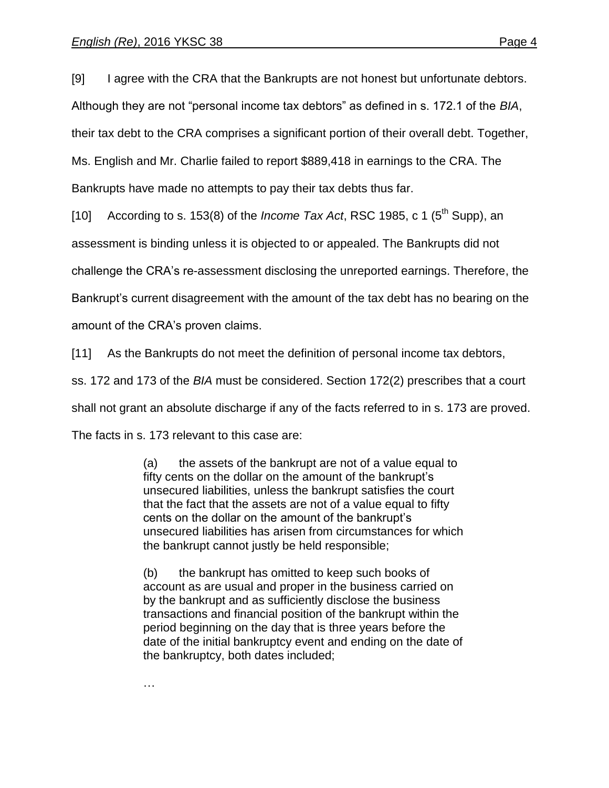[9] I agree with the CRA that the Bankrupts are not honest but unfortunate debtors. Although they are not "personal income tax debtors" as defined in s. 172.1 of the *BIA*, their tax debt to the CRA comprises a significant portion of their overall debt. Together, Ms. English and Mr. Charlie failed to report \$889,418 in earnings to the CRA. The Bankrupts have made no attempts to pay their tax debts thus far.

[10] According to s. 153(8) of the *Income Tax Act*, RSC 1985, c 1 ( $5<sup>th</sup>$  Supp), an

assessment is binding unless it is objected to or appealed. The Bankrupts did not

challenge the CRA's re-assessment disclosing the unreported earnings. Therefore, the

Bankrupt's current disagreement with the amount of the tax debt has no bearing on the

amount of the CRA's proven claims.

[11] As the Bankrupts do not meet the definition of personal income tax debtors,

ss. 172 and 173 of the *BIA* must be considered. Section 172(2) prescribes that a court

shall not grant an absolute discharge if any of the facts referred to in s. 173 are proved.

The facts in s. 173 relevant to this case are:

(a) the assets of the bankrupt are not of a value equal to fifty cents on the dollar on the amount of the bankrupt's unsecured liabilities, unless the bankrupt satisfies the court that the fact that the assets are not of a value equal to fifty cents on the dollar on the amount of the bankrupt's unsecured liabilities has arisen from circumstances for which the bankrupt cannot justly be held responsible;

(b) the bankrupt has omitted to keep such books of account as are usual and proper in the business carried on by the bankrupt and as sufficiently disclose the business transactions and financial position of the bankrupt within the period beginning on the day that is three years before the date of the initial bankruptcy event and ending on the date of the bankruptcy, both dates included;

…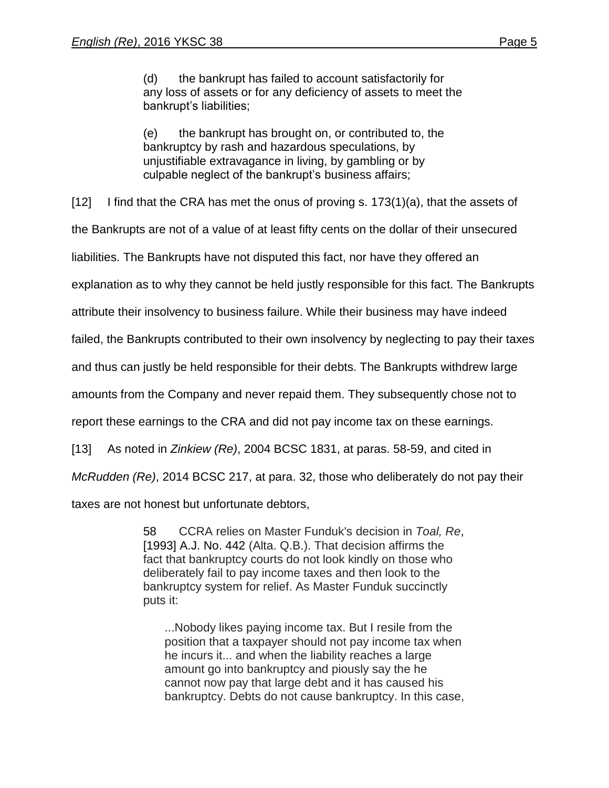(d) the bankrupt has failed to account satisfactorily for any loss of assets or for any deficiency of assets to meet the bankrupt's liabilities;

(e) the bankrupt has brought on, or contributed to, the bankruptcy by rash and hazardous speculations, by unjustifiable extravagance in living, by gambling or by culpable neglect of the bankrupt's business affairs;

[12] I find that the CRA has met the onus of proving s.  $173(1)(a)$ , that the assets of

the Bankrupts are not of a value of at least fifty cents on the dollar of their unsecured

liabilities. The Bankrupts have not disputed this fact, nor have they offered an

explanation as to why they cannot be held justly responsible for this fact. The Bankrupts

attribute their insolvency to business failure. While their business may have indeed

failed, the Bankrupts contributed to their own insolvency by neglecting to pay their taxes

and thus can justly be held responsible for their debts. The Bankrupts withdrew large

amounts from the Company and never repaid them. They subsequently chose not to

report these earnings to the CRA and did not pay income tax on these earnings.

[13] As noted in *Zinkiew (Re)*, 2004 BCSC 1831, at paras. 58-59, and cited in

*McRudden (Re)*, 2014 BCSC 217, at para. 32, those who deliberately do not pay their

taxes are not honest but unfortunate debtors,

58 CCRA relies on Master Funduk's decision in *Toal, Re*[,](https://nextcanada.westlaw.com/Link/Document/FullText?findType=Y&pubNum=6407&serNum=1993383085&originationContext=document&transitionType=Document&contextData=(sc.Folder*cid.d7651c03c60348cfbbd1101568e0aed3*oc.Keycite))  [\[1993\] A.J. No. 442](https://nextcanada.westlaw.com/Link/Document/FullText?findType=Y&pubNum=6407&serNum=1993383085&originationContext=document&transitionType=Document&contextData=(sc.Folder*cid.d7651c03c60348cfbbd1101568e0aed3*oc.Keycite)) (Alta. Q.B.). That decision affirms the fact that bankruptcy courts do not look kindly on those who deliberately fail to pay income taxes and then look to the bankruptcy system for relief. As Master Funduk succinctly puts it:

...Nobody likes paying income tax. But I resile from the position that a taxpayer should not pay income tax when he incurs it... and when the liability reaches a large amount go into bankruptcy and piously say the he cannot now pay that large debt and it has caused his bankruptcy. Debts do not cause bankruptcy. In this case,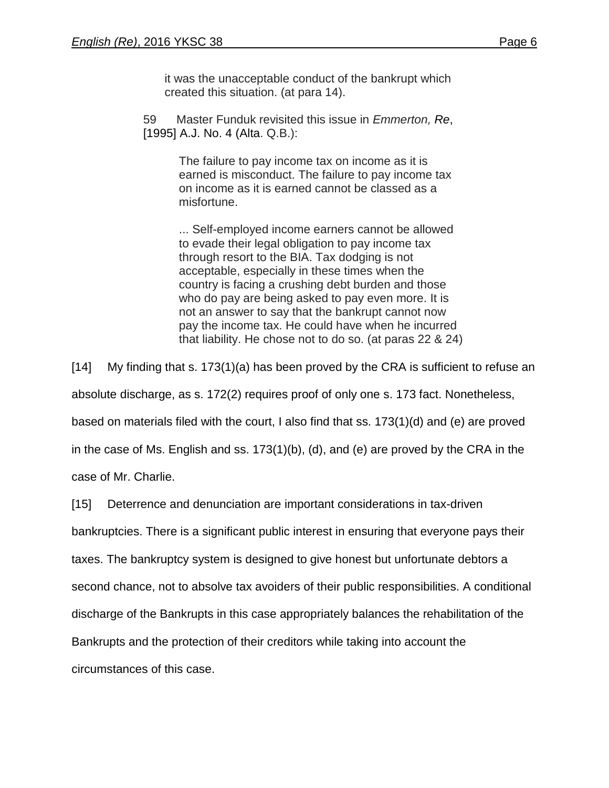it was the unacceptable conduct of the bankrupt which created this situation. (at para 14).

59 Master Funduk revisited this issue in *Emmerton, Re*[,](https://nextcanada.westlaw.com/Link/Document/FullText?findType=Y&pubNum=6407&serNum=1995395333&originationContext=document&transitionType=Document&contextData=(sc.Folder*cid.d7651c03c60348cfbbd1101568e0aed3*oc.Keycite))  [\[1995\] A.J. No. 4](https://nextcanada.westlaw.com/Link/Document/FullText?findType=Y&pubNum=6407&serNum=1995395333&originationContext=document&transitionType=Document&contextData=(sc.Folder*cid.d7651c03c60348cfbbd1101568e0aed3*oc.Keycite)) (Alta. Q.B.):

> The failure to pay income tax on income as it is earned is misconduct. The failure to pay income tax on income as it is earned cannot be classed as a misfortune.

... Self-employed income earners cannot be allowed to evade their legal obligation to pay income tax through resort to the BIA. Tax dodging is not acceptable, especially in these times when the country is facing a crushing debt burden and those who do pay are being asked to pay even more. It is not an answer to say that the bankrupt cannot now pay the income tax. He could have when he incurred that liability. He chose not to do so. (at paras 22 & 24)

[14] My finding that s. 173(1)(a) has been proved by the CRA is sufficient to refuse an

absolute discharge, as s. 172(2) requires proof of only one s. 173 fact. Nonetheless,

based on materials filed with the court, I also find that ss. 173(1)(d) and (e) are proved

in the case of Ms. English and ss. 173(1)(b), (d), and (e) are proved by the CRA in the

case of Mr. Charlie.

[15] Deterrence and denunciation are important considerations in tax-driven

bankruptcies. There is a significant public interest in ensuring that everyone pays their

taxes. The bankruptcy system is designed to give honest but unfortunate debtors a

second chance, not to absolve tax avoiders of their public responsibilities. A conditional

discharge of the Bankrupts in this case appropriately balances the rehabilitation of the

Bankrupts and the protection of their creditors while taking into account the

circumstances of this case.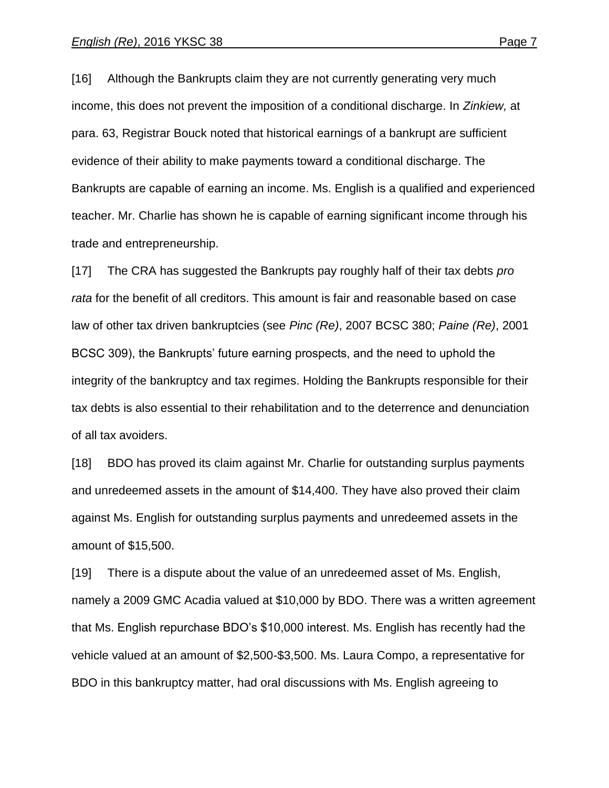[16] Although the Bankrupts claim they are not currently generating very much income, this does not prevent the imposition of a conditional discharge. In *Zinkiew,* at para. 63, Registrar Bouck noted that historical earnings of a bankrupt are sufficient evidence of their ability to make payments toward a conditional discharge. The Bankrupts are capable of earning an income. Ms. English is a qualified and experienced teacher. Mr. Charlie has shown he is capable of earning significant income through his trade and entrepreneurship.

[17] The CRA has suggested the Bankrupts pay roughly half of their tax debts *pro rata* for the benefit of all creditors. This amount is fair and reasonable based on case law of other tax driven bankruptcies (see *Pinc (Re)*, 2007 BCSC 380; *Paine (Re)*, 2001 BCSC 309), the Bankrupts' future earning prospects, and the need to uphold the integrity of the bankruptcy and tax regimes. Holding the Bankrupts responsible for their tax debts is also essential to their rehabilitation and to the deterrence and denunciation of all tax avoiders.

[18] BDO has proved its claim against Mr. Charlie for outstanding surplus payments and unredeemed assets in the amount of \$14,400. They have also proved their claim against Ms. English for outstanding surplus payments and unredeemed assets in the amount of \$15,500.

[19] There is a dispute about the value of an unredeemed asset of Ms. English, namely a 2009 GMC Acadia valued at \$10,000 by BDO. There was a written agreement that Ms. English repurchase BDO's \$10,000 interest. Ms. English has recently had the vehicle valued at an amount of \$2,500-\$3,500. Ms. Laura Compo, a representative for BDO in this bankruptcy matter, had oral discussions with Ms. English agreeing to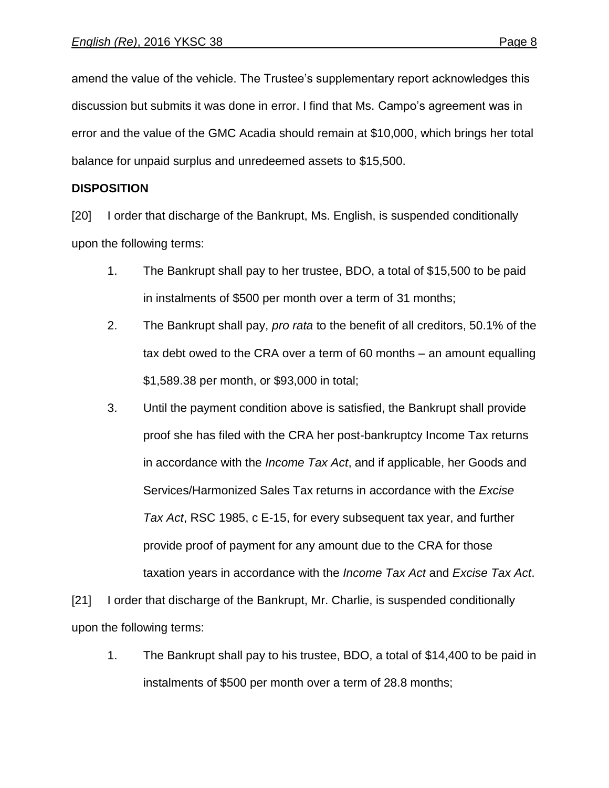amend the value of the vehicle. The Trustee's supplementary report acknowledges this discussion but submits it was done in error. I find that Ms. Campo's agreement was in error and the value of the GMC Acadia should remain at \$10,000, which brings her total balance for unpaid surplus and unredeemed assets to \$15,500.

#### **DISPOSITION**

[20] I order that discharge of the Bankrupt, Ms. English, is suspended conditionally upon the following terms:

- 1. The Bankrupt shall pay to her trustee, BDO, a total of \$15,500 to be paid in instalments of \$500 per month over a term of 31 months;
- 2. The Bankrupt shall pay, *pro rata* to the benefit of all creditors, 50.1% of the tax debt owed to the CRA over a term of 60 months – an amount equalling \$1,589.38 per month, or \$93,000 in total;
- 3. Until the payment condition above is satisfied, the Bankrupt shall provide proof she has filed with the CRA her post-bankruptcy Income Tax returns in accordance with the *Income Tax Act*, and if applicable, her Goods and Services/Harmonized Sales Tax returns in accordance with the *Excise Tax Act*, RSC 1985, c E-15, for every subsequent tax year, and further provide proof of payment for any amount due to the CRA for those taxation years in accordance with the *Income Tax Act* and *Excise Tax Act*.

[21] I order that discharge of the Bankrupt, Mr. Charlie, is suspended conditionally upon the following terms:

1. The Bankrupt shall pay to his trustee, BDO, a total of \$14,400 to be paid in instalments of \$500 per month over a term of 28.8 months;